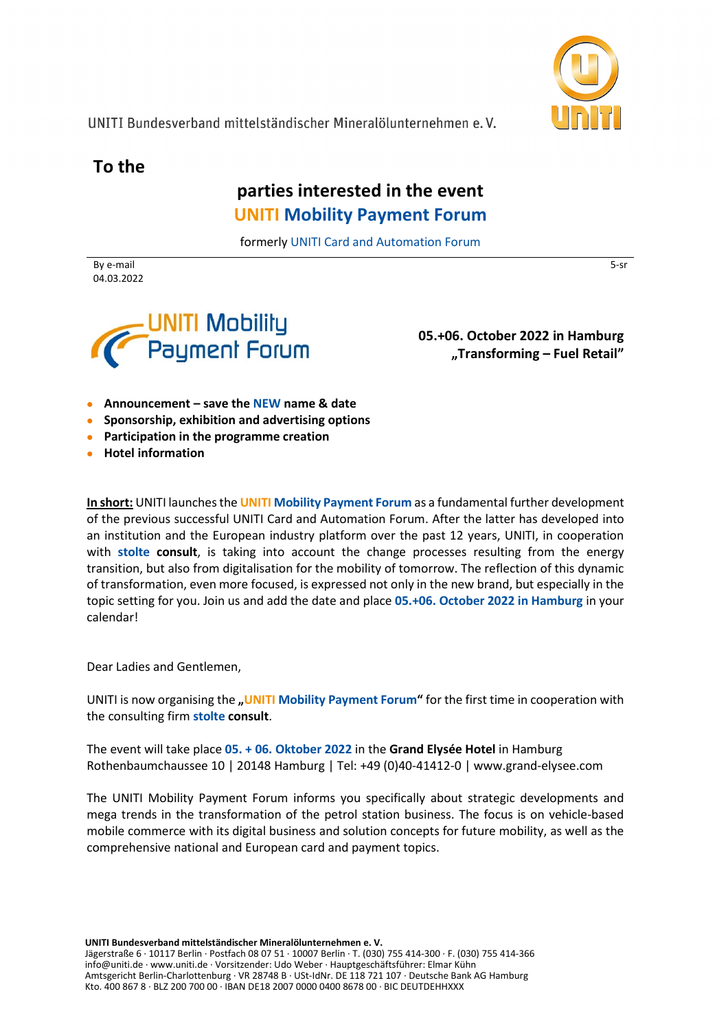

5-sr

UNITI Bundesverband mittelständischer Mineralölunternehmen e.V.

**To the**

# **parties interested in the event UNITI Mobility Payment Forum**

formerly UNITI Card and Automation Forum

By e-mail 04.03.2022



**05.+06. October 2022 in Hamburg "Transforming – Fuel Retail"**

- **Announcement – save the NEW name & date**
- **Sponsorship, exhibition and advertising options**
- **Participation in the programme creation**
- **Hotel information**

**In short:** UNITI launches the **UNITI Mobility Payment Forum** as a fundamental further development of the previous successful UNITI Card and Automation Forum. After the latter has developed into an institution and the European industry platform over the past 12 years, UNITI, in cooperation with **stolte consult**, is taking into account the change processes resulting from the energy transition, but also from digitalisation for the mobility of tomorrow. The reflection of this dynamic of transformation, even more focused, is expressed not only in the new brand, but especially in the topic setting for you. Join us and add the date and place **05.+06. October 2022 in Hamburg** in your calendar!

Dear Ladies and Gentlemen,

UNITI is now organising the **"UNITI Mobility Payment Forum"** for the first time in cooperation with the consulting firm **stolte consult**.

The event will take place **05. + 06. Oktober 2022** in the **Grand Elysée Hotel** in Hamburg Rothenbaumchaussee 10 | 20148 Hamburg | Tel: +49 (0)40-41412-0 | [www.grand-elysee.com](http://www.grand-elysee.com/)

The UNITI Mobility Payment Forum informs you specifically about strategic developments and mega trends in the transformation of the petrol station business. The focus is on vehicle-based mobile commerce with its digital business and solution concepts for future mobility, as well as the comprehensive national and European card and payment topics.

**UNITI Bundesverband mittelständischer Mineralölunternehmen e. V.**

Jägerstraße 6 · 10117 Berlin · Postfach 08 07 51 · 10007 Berlin · T. (030) 755 414-300 · F. (030) 755 414-366 info@uniti.de · www.uniti.de · Vorsitzender: Udo Weber · Hauptgeschäftsführer: Elmar Kühn Amtsgericht Berlin-Charlottenburg · VR 28748 B · USt-IdNr. DE 118 721 107 · Deutsche Bank AG Hamburg Kto. 400 867 8 · BLZ 200 700 00 · IBAN DE18 2007 0000 0400 8678 00 · BIC DEUTDEHHXXX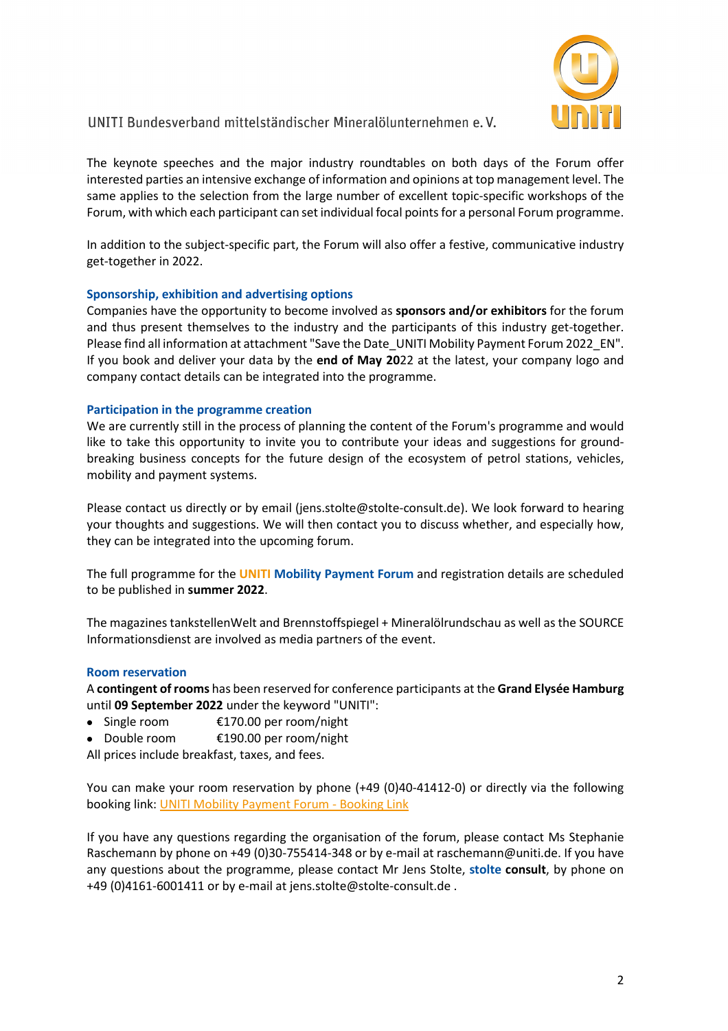

## UNITI Bundesverband mittelständischer Mineralölunternehmen e.V.

The keynote speeches and the major industry roundtables on both days of the Forum offer interested parties an intensive exchange of information and opinions at top management level. The same applies to the selection from the large number of excellent topic-specific workshops of the Forum, with which each participant can set individual focal points for a personal Forum programme.

In addition to the subject-specific part, the Forum will also offer a festive, communicative industry get-together in 2022.

### **Sponsorship, exhibition and advertising options**

Companies have the opportunity to become involved as **sponsors and/or exhibitors** for the forum and thus present themselves to the industry and the participants of this industry get-together. Please find all information at attachment "Save the Date\_UNITI Mobility Payment Forum 2022\_EN". If you book and deliver your data by the **end of May 20**22 at the latest, your company logo and company contact details can be integrated into the programme.

#### **Participation in the programme creation**

We are currently still in the process of planning the content of the Forum's programme and would like to take this opportunity to invite you to contribute your ideas and suggestions for groundbreaking business concepts for the future design of the ecosystem of petrol stations, vehicles, mobility and payment systems.

Please contact us directly or by email [\(jens.stolte@stolte-consult.de\)](mailto:jens.stolte@stolte-consult.de). We look forward to hearing your thoughts and suggestions. We will then contact you to discuss whether, and especially how, they can be integrated into the upcoming forum.

The full programme for the **UNITI Mobility Payment Forum** and registration details are scheduled to be published in **summer 2022**.

The magazines tankstellenWelt and Brennstoffspiegel + Mineralölrundschau as well as the SOURCE Informationsdienst are involved as media partners of the event.

#### **Room reservation**

A **contingent of rooms** has been reserved for conference participants at the **Grand Elysée Hamburg**  until **09 September 2022** under the keyword "UNITI":

- Single room €170.00 per room/night
- Double room €190.00 per room/night

All prices include breakfast, taxes, and fees.

You can make your room reservation by phone (+49 (0)40-41412-0) or directly via the following booking link: UNITI [Mobility Payment Forum -](http://bookings.ihotelier.com/bookings.jsp?groupID=3294134&hotelID=100005) Booking Link

If you have any questions regarding the organisation of the forum, please contact Ms Stephanie Raschemann by phone on +49 (0)30-755414-348 or by e-mail at raschemann@uniti.de. If you have any questions about the programme, please contact Mr Jens Stolte, **stolte consult**, by phone on +49 (0)4161-6001411 or by e-mail at jens.stolte@stolte-consult.de .